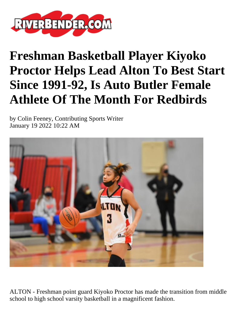

## **Freshman Basketball Player Kiyoko Proctor Helps Lead Alton To Best Start Since 1991-92, Is Auto Butler Female Athlete Of The Month For Redbirds**

by Colin Feeney, Contributing Sports Writer January 19 2022 10:22 AM



ALTON - Freshman point guard Kiyoko Proctor has made the transition from middle school to high school varsity basketball in a magnificent fashion.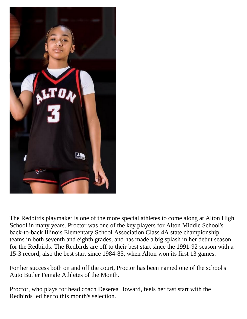

The Redbirds playmaker is one of the more special athletes to come along at Alton High School in many years. Proctor was one of the key players for Alton Middle School's back-to-back Illinois Elementary School Association Class 4A state championship teams in both seventh and eighth grades, and has made a big splash in her debut season for the Redbirds. The Redbirds are off to their best start since the 1991-92 season with a 15-3 record, also the best start since 1984-85, when Alton won its first 13 games.

For her success both on and off the court, Proctor has been named one of the school's Auto Butler Female Athletes of the Month.

Proctor, who plays for head coach Deserea Howard, feels her fast start with the Redbirds led her to this month's selection.